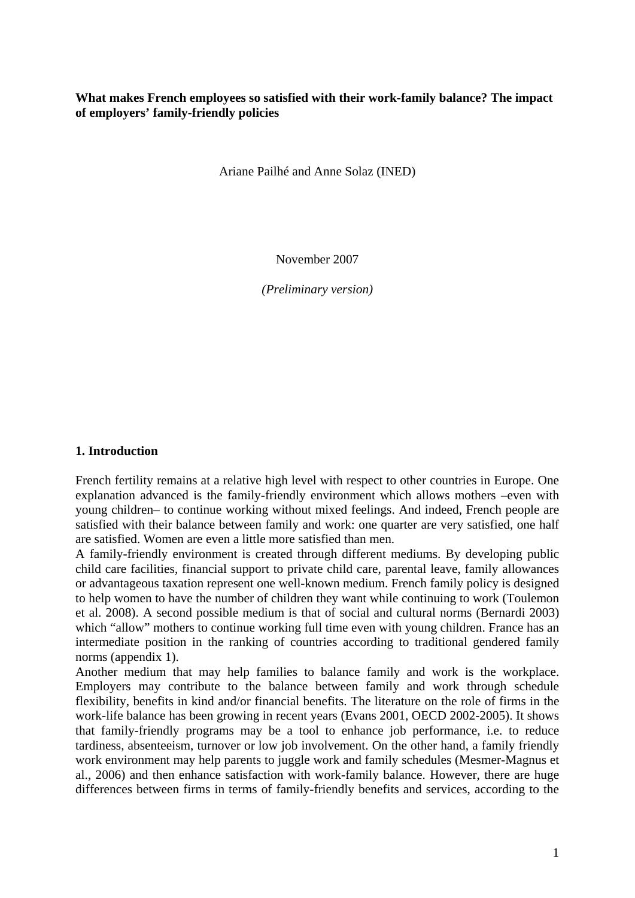## **What makes French employees so satisfied with their work-family balance? The impact of employers' family-friendly policies**

Ariane Pailhé and Anne Solaz (INED)

November 2007

*(Preliminary version)* 

#### **1. Introduction**

French fertility remains at a relative high level with respect to other countries in Europe. One explanation advanced is the family-friendly environment which allows mothers –even with young children– to continue working without mixed feelings. And indeed, French people are satisfied with their balance between family and work: one quarter are very satisfied, one half are satisfied. Women are even a little more satisfied than men.

A family-friendly environment is created through different mediums. By developing public child care facilities, financial support to private child care, parental leave, family allowances or advantageous taxation represent one well-known medium. French family policy is designed to help women to have the number of children they want while continuing to work (Toulemon et al. 2008). A second possible medium is that of social and cultural norms (Bernardi 2003) which "allow" mothers to continue working full time even with young children. France has an intermediate position in the ranking of countries according to traditional gendered family norms (appendix 1).

Another medium that may help families to balance family and work is the workplace. Employers may contribute to the balance between family and work through schedule flexibility, benefits in kind and/or financial benefits. The literature on the role of firms in the work-life balance has been growing in recent years (Evans 2001, OECD 2002-2005). It shows that family-friendly programs may be a tool to enhance job performance, i.e. to reduce tardiness, absenteeism, turnover or low job involvement. On the other hand, a family friendly work environment may help parents to juggle work and family schedules (Mesmer-Magnus et al., 2006) and then enhance satisfaction with work-family balance. However, there are huge differences between firms in terms of family-friendly benefits and services, according to the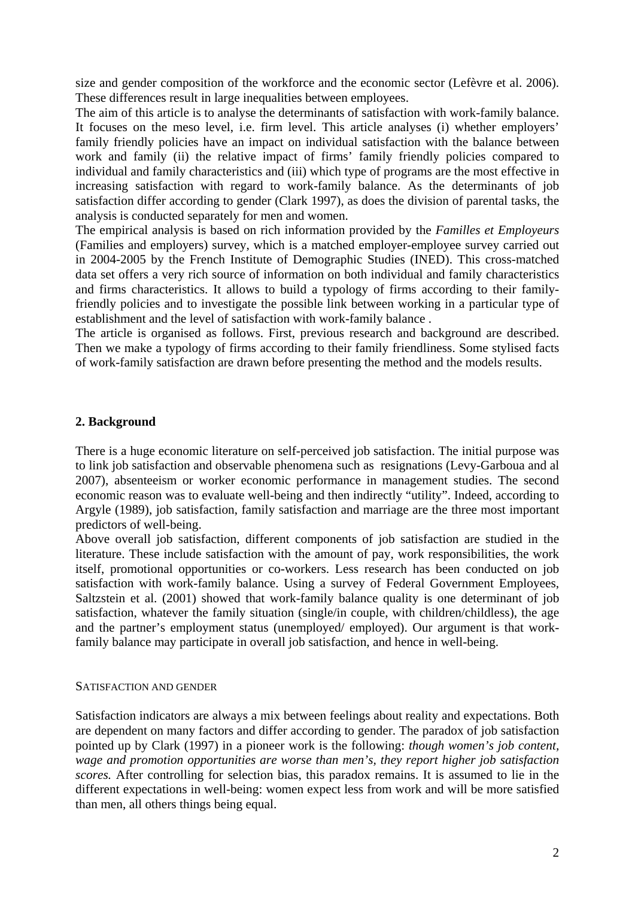size and gender composition of the workforce and the economic sector (Lefèvre et al. 2006). These differences result in large inequalities between employees.

The aim of this article is to analyse the determinants of satisfaction with work-family balance. It focuses on the meso level, i.e. firm level. This article analyses (i) whether employers' family friendly policies have an impact on individual satisfaction with the balance between work and family (ii) the relative impact of firms' family friendly policies compared to individual and family characteristics and (iii) which type of programs are the most effective in increasing satisfaction with regard to work-family balance. As the determinants of job satisfaction differ according to gender (Clark 1997), as does the division of parental tasks, the analysis is conducted separately for men and women.

The empirical analysis is based on rich information provided by the *Familles et Employeurs* (Families and employers) survey, which is a matched employer-employee survey carried out in 2004-2005 by the French Institute of Demographic Studies (INED). This cross-matched data set offers a very rich source of information on both individual and family characteristics and firms characteristics. It allows to build a typology of firms according to their familyfriendly policies and to investigate the possible link between working in a particular type of establishment and the level of satisfaction with work-family balance .

The article is organised as follows. First, previous research and background are described. Then we make a typology of firms according to their family friendliness. Some stylised facts of work-family satisfaction are drawn before presenting the method and the models results.

## **2. Background**

There is a huge economic literature on self-perceived job satisfaction. The initial purpose was to link job satisfaction and observable phenomena such as resignations (Levy-Garboua and al 2007), absenteeism or worker economic performance in management studies. The second economic reason was to evaluate well-being and then indirectly "utility". Indeed, according to Argyle (1989), job satisfaction, family satisfaction and marriage are the three most important predictors of well-being.

Above overall job satisfaction, different components of job satisfaction are studied in the literature. These include satisfaction with the amount of pay, work responsibilities, the work itself, promotional opportunities or co-workers. Less research has been conducted on job satisfaction with work-family balance. Using a survey of Federal Government Employees, Saltzstein et al. (2001) showed that work-family balance quality is one determinant of job satisfaction, whatever the family situation (single/in couple, with children/childless), the age and the partner's employment status (unemployed/ employed). Our argument is that workfamily balance may participate in overall job satisfaction, and hence in well-being.

#### SATISFACTION AND GENDER

Satisfaction indicators are always a mix between feelings about reality and expectations. Both are dependent on many factors and differ according to gender. The paradox of job satisfaction pointed up by Clark (1997) in a pioneer work is the following: *though women's job content, wage and promotion opportunities are worse than men's, they report higher job satisfaction scores.* After controlling for selection bias, this paradox remains. It is assumed to lie in the different expectations in well-being: women expect less from work and will be more satisfied than men, all others things being equal.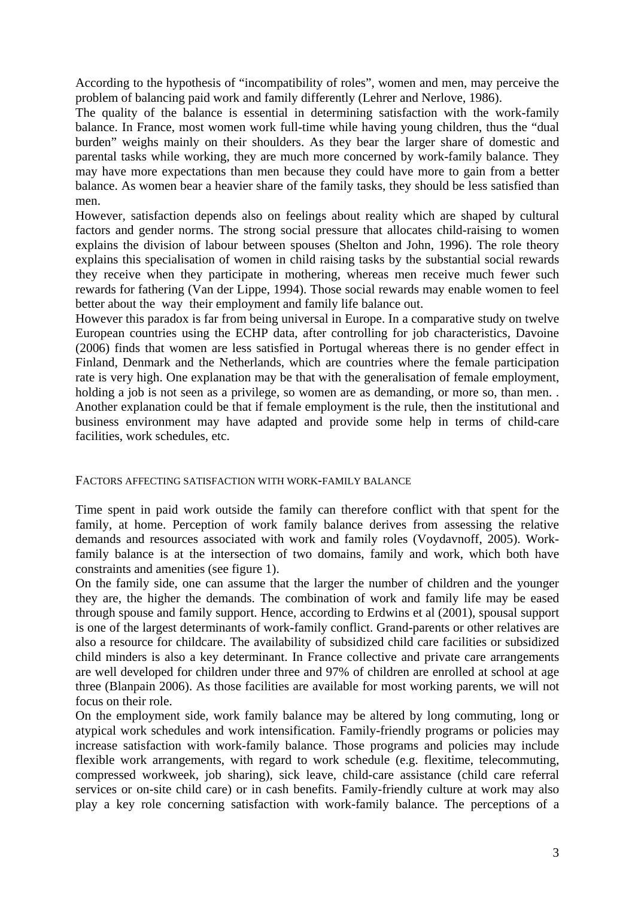According to the hypothesis of "incompatibility of roles", women and men, may perceive the problem of balancing paid work and family differently (Lehrer and Nerlove, 1986).

The quality of the balance is essential in determining satisfaction with the work-family balance. In France, most women work full-time while having young children, thus the "dual burden" weighs mainly on their shoulders. As they bear the larger share of domestic and parental tasks while working, they are much more concerned by work-family balance. They may have more expectations than men because they could have more to gain from a better balance. As women bear a heavier share of the family tasks, they should be less satisfied than men.

However, satisfaction depends also on feelings about reality which are shaped by cultural factors and gender norms. The strong social pressure that allocates child-raising to women explains the division of labour between spouses (Shelton and John, 1996). The role theory explains this specialisation of women in child raising tasks by the substantial social rewards they receive when they participate in mothering, whereas men receive much fewer such rewards for fathering (Van der Lippe, 1994). Those social rewards may enable women to feel better about the way their employment and family life balance out.

However this paradox is far from being universal in Europe. In a comparative study on twelve European countries using the ECHP data, after controlling for job characteristics, Davoine (2006) finds that women are less satisfied in Portugal whereas there is no gender effect in Finland, Denmark and the Netherlands, which are countries where the female participation rate is very high. One explanation may be that with the generalisation of female employment, holding a job is not seen as a privilege, so women are as demanding, or more so, than men... Another explanation could be that if female employment is the rule, then the institutional and business environment may have adapted and provide some help in terms of child-care facilities, work schedules, etc.

#### FACTORS AFFECTING SATISFACTION WITH WORK-FAMILY BALANCE

Time spent in paid work outside the family can therefore conflict with that spent for the family, at home. Perception of work family balance derives from assessing the relative demands and resources associated with work and family roles (Voydavnoff, 2005). Workfamily balance is at the intersection of two domains, family and work, which both have constraints and amenities (see figure 1).

On the family side, one can assume that the larger the number of children and the younger they are, the higher the demands. The combination of work and family life may be eased through spouse and family support. Hence, according to Erdwins et al (2001), spousal support is one of the largest determinants of work-family conflict. Grand-parents or other relatives are also a resource for childcare. The availability of subsidized child care facilities or subsidized child minders is also a key determinant. In France collective and private care arrangements are well developed for children under three and 97% of children are enrolled at school at age three (Blanpain 2006). As those facilities are available for most working parents, we will not focus on their role.

On the employment side, work family balance may be altered by long commuting, long or atypical work schedules and work intensification. Family-friendly programs or policies may increase satisfaction with work-family balance. Those programs and policies may include flexible work arrangements, with regard to work schedule (e.g. flexitime, telecommuting, compressed workweek, job sharing), sick leave, child-care assistance (child care referral services or on-site child care) or in cash benefits. Family-friendly culture at work may also play a key role concerning satisfaction with work-family balance. The perceptions of a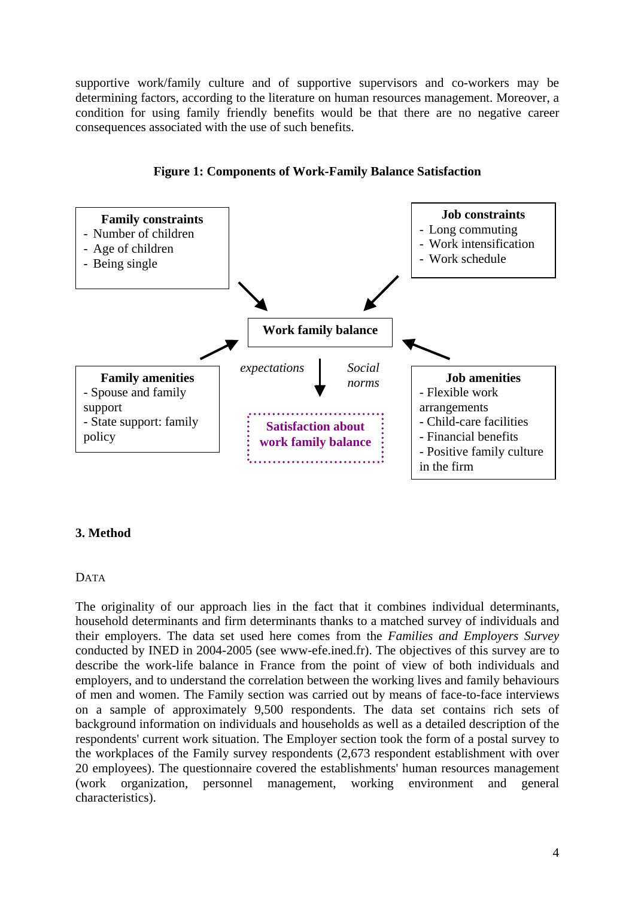supportive work/family culture and of supportive supervisors and co-workers may be determining factors, according to the literature on human resources management. Moreover, a condition for using family friendly benefits would be that there are no negative career consequences associated with the use of such benefits.



**Figure 1: Components of Work-Family Balance Satisfaction** 

## **3. Method**

#### DATA

The originality of our approach lies in the fact that it combines individual determinants, household determinants and firm determinants thanks to a matched survey of individuals and their employers. The data set used here comes from the *Families and Employers Survey* conducted by INED in 2004-2005 (see www-efe.ined.fr). The objectives of this survey are to describe the work-life balance in France from the point of view of both individuals and employers, and to understand the correlation between the working lives and family behaviours of men and women. The Family section was carried out by means of face-to-face interviews on a sample of approximately 9,500 respondents. The data set contains rich sets of background information on individuals and households as well as a detailed description of the respondents' current work situation. The Employer section took the form of a postal survey to the workplaces of the Family survey respondents (2,673 respondent establishment with over 20 employees). The questionnaire covered the establishments' human resources management (work organization, personnel management, working environment and general characteristics).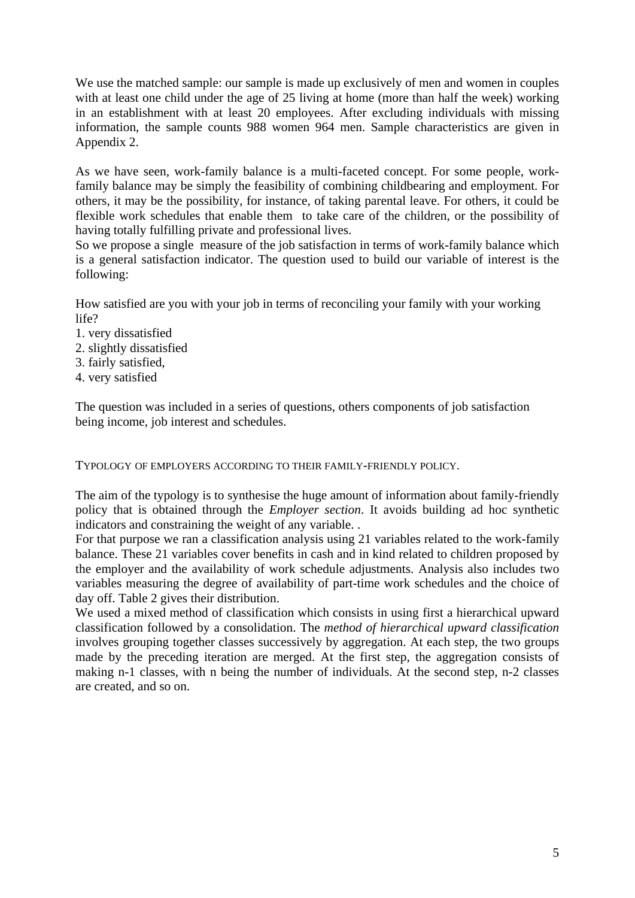We use the matched sample: our sample is made up exclusively of men and women in couples with at least one child under the age of 25 living at home (more than half the week) working in an establishment with at least 20 employees. After excluding individuals with missing information, the sample counts 988 women 964 men. Sample characteristics are given in Appendix 2.

As we have seen, work-family balance is a multi-faceted concept. For some people, workfamily balance may be simply the feasibility of combining childbearing and employment. For others, it may be the possibility, for instance, of taking parental leave. For others, it could be flexible work schedules that enable them to take care of the children, or the possibility of having totally fulfilling private and professional lives.

So we propose a single measure of the job satisfaction in terms of work-family balance which is a general satisfaction indicator. The question used to build our variable of interest is the following:

How satisfied are you with your job in terms of reconciling your family with your working life?

- 1. very dissatisfied
- 2. slightly dissatisfied
- 3. fairly satisfied,
- 4. very satisfied

The question was included in a series of questions, others components of job satisfaction being income, job interest and schedules.

TYPOLOGY OF EMPLOYERS ACCORDING TO THEIR FAMILY-FRIENDLY POLICY.

The aim of the typology is to synthesise the huge amount of information about family-friendly policy that is obtained through the *Employer section*. It avoids building ad hoc synthetic indicators and constraining the weight of any variable. .

For that purpose we ran a classification analysis using 21 variables related to the work-family balance. These 21 variables cover benefits in cash and in kind related to children proposed by the employer and the availability of work schedule adjustments. Analysis also includes two variables measuring the degree of availability of part-time work schedules and the choice of day off. Table 2 gives their distribution.

We used a mixed method of classification which consists in using first a hierarchical upward classification followed by a consolidation. The *method of hierarchical upward classification* involves grouping together classes successively by aggregation. At each step, the two groups made by the preceding iteration are merged. At the first step, the aggregation consists of making n-1 classes, with n being the number of individuals. At the second step, n-2 classes are created, and so on.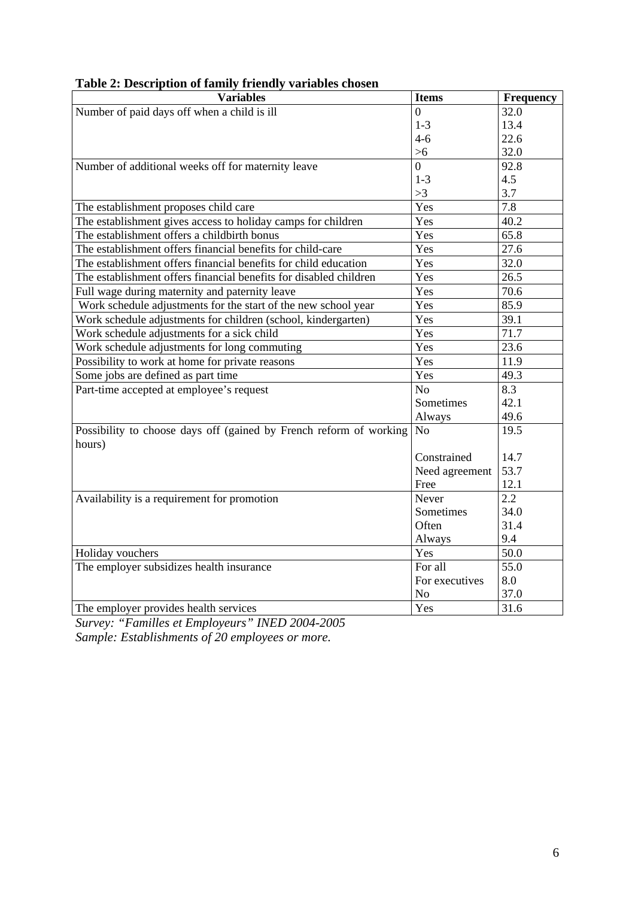| <b>Variables</b>                                                   | <b>Items</b>   | <b>Frequency</b> |
|--------------------------------------------------------------------|----------------|------------------|
| Number of paid days off when a child is ill                        | $\Omega$       | 32.0             |
|                                                                    | $1 - 3$        | 13.4             |
|                                                                    | $4 - 6$        | 22.6             |
|                                                                    | $>6$           | 32.0             |
| Number of additional weeks off for maternity leave                 | $\overline{0}$ | 92.8             |
|                                                                    | $1 - 3$        | 4.5              |
|                                                                    | >3             | 3.7              |
| The establishment proposes child care                              | Yes            | 7.8              |
| The establishment gives access to holiday camps for children       | Yes            | 40.2             |
| The establishment offers a childbirth bonus                        | Yes            | 65.8             |
| The establishment offers financial benefits for child-care         | Yes            | 27.6             |
| The establishment offers financial benefits for child education    | Yes            | 32.0             |
| The establishment offers financial benefits for disabled children  | Yes            | 26.5             |
| Full wage during maternity and paternity leave                     | Yes            | 70.6             |
| Work schedule adjustments for the start of the new school year     | Yes            | 85.9             |
| Work schedule adjustments for children (school, kindergarten)      | Yes            | 39.1             |
| Work schedule adjustments for a sick child                         | Yes            | 71.7             |
| Work schedule adjustments for long commuting                       | Yes            | 23.6             |
| Possibility to work at home for private reasons                    | Yes            | 11.9             |
| Some jobs are defined as part time                                 | Yes            | 49.3             |
| Part-time accepted at employee's request                           | No             | 8.3              |
|                                                                    | Sometimes      | 42.1             |
|                                                                    | Always         | 49.6             |
| Possibility to choose days off (gained by French reform of working | N <sub>o</sub> | 19.5             |
| hours)                                                             |                |                  |
|                                                                    | Constrained    | 14.7             |
|                                                                    | Need agreement | 53.7             |
|                                                                    | Free           | 12.1             |
| Availability is a requirement for promotion                        | Never          | 2.2              |
|                                                                    | Sometimes      | 34.0             |
|                                                                    | Often          | 31.4             |
|                                                                    | Always         | 9.4              |
| Holiday vouchers                                                   | Yes            | 50.0             |
| The employer subsidizes health insurance                           | For all        | 55.0             |
|                                                                    | For executives | 8.0              |
|                                                                    | N <sub>o</sub> | 37.0             |
| The employer provides health services                              | Yes            | 31.6             |

## **Table 2: Description of family friendly variables chosen**

*Survey: "Familles et Employeurs" INED 2004-2005 Sample: Establishments of 20 employees or more.*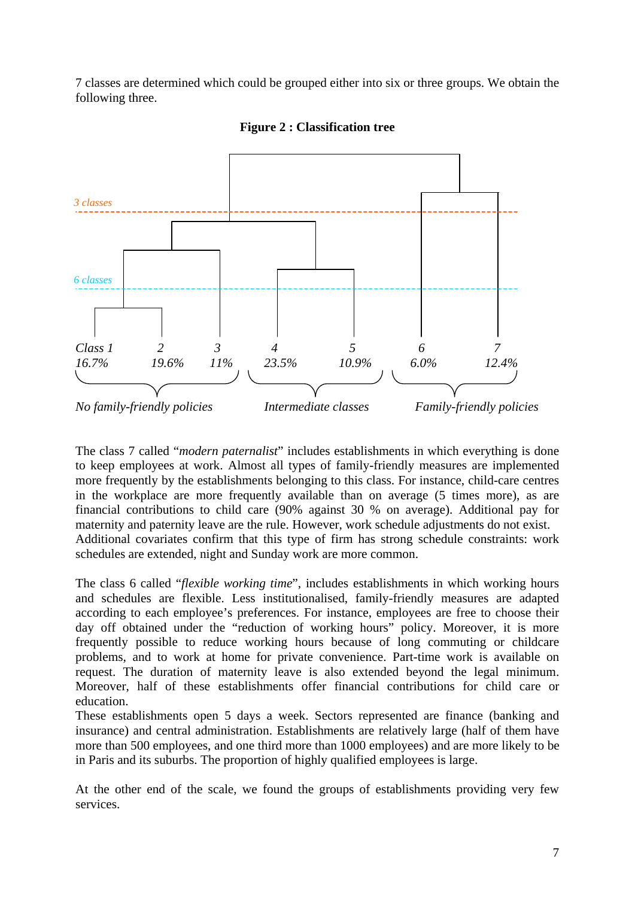7 classes are determined which could be grouped either into six or three groups. We obtain the following three.



**Figure 2 : Classification tree** 

The class 7 called "*modern paternalist*" includes establishments in which everything is done to keep employees at work. Almost all types of family-friendly measures are implemented more frequently by the establishments belonging to this class. For instance, child-care centres in the workplace are more frequently available than on average (5 times more), as are financial contributions to child care (90% against 30 % on average). Additional pay for maternity and paternity leave are the rule. However, work schedule adjustments do not exist. Additional covariates confirm that this type of firm has strong schedule constraints: work schedules are extended, night and Sunday work are more common.

The class 6 called "*flexible working time*", includes establishments in which working hours and schedules are flexible. Less institutionalised, family-friendly measures are adapted according to each employee's preferences. For instance, employees are free to choose their day off obtained under the "reduction of working hours" policy. Moreover, it is more frequently possible to reduce working hours because of long commuting or childcare problems, and to work at home for private convenience. Part-time work is available on request. The duration of maternity leave is also extended beyond the legal minimum. Moreover, half of these establishments offer financial contributions for child care or education.

These establishments open 5 days a week. Sectors represented are finance (banking and insurance) and central administration. Establishments are relatively large (half of them have more than 500 employees, and one third more than 1000 employees) and are more likely to be in Paris and its suburbs. The proportion of highly qualified employees is large.

At the other end of the scale, we found the groups of establishments providing very few services.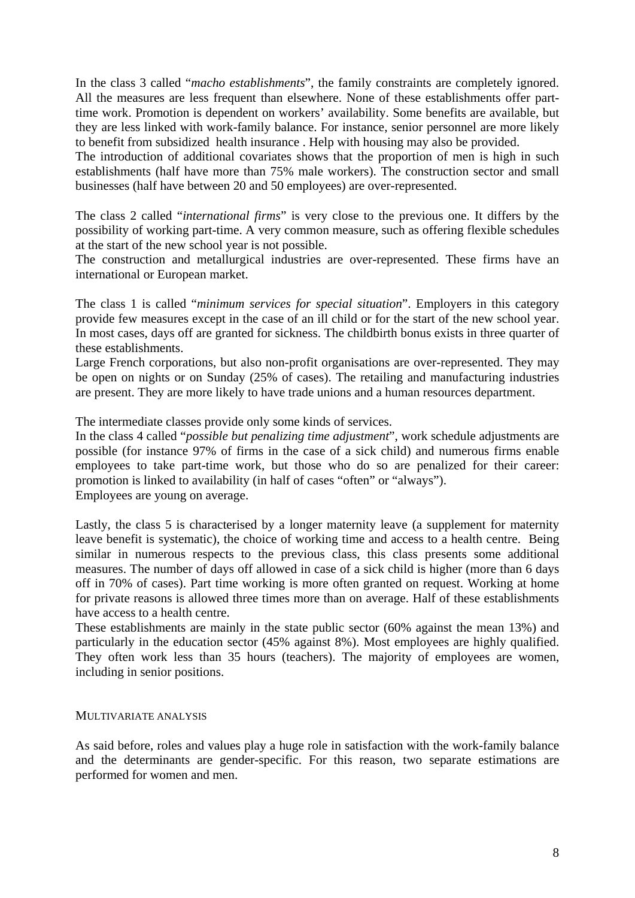In the class 3 called "*macho establishments*", the family constraints are completely ignored. All the measures are less frequent than elsewhere. None of these establishments offer parttime work. Promotion is dependent on workers' availability. Some benefits are available, but they are less linked with work-family balance. For instance, senior personnel are more likely to benefit from subsidized health insurance . Help with housing may also be provided.

The introduction of additional covariates shows that the proportion of men is high in such establishments (half have more than 75% male workers). The construction sector and small businesses (half have between 20 and 50 employees) are over-represented.

The class 2 called "*international firms*" is very close to the previous one. It differs by the possibility of working part-time. A very common measure, such as offering flexible schedules at the start of the new school year is not possible.

The construction and metallurgical industries are over-represented. These firms have an international or European market.

The class 1 is called "*minimum services for special situation*". Employers in this category provide few measures except in the case of an ill child or for the start of the new school year. In most cases, days off are granted for sickness. The childbirth bonus exists in three quarter of these establishments.

Large French corporations, but also non-profit organisations are over-represented. They may be open on nights or on Sunday (25% of cases). The retailing and manufacturing industries are present. They are more likely to have trade unions and a human resources department.

The intermediate classes provide only some kinds of services.

In the class 4 called "*possible but penalizing time adjustment*", work schedule adjustments are possible (for instance 97% of firms in the case of a sick child) and numerous firms enable employees to take part-time work, but those who do so are penalized for their career: promotion is linked to availability (in half of cases "often" or "always"). Employees are young on average.

Lastly, the class 5 is characterised by a longer maternity leave (a supplement for maternity leave benefit is systematic), the choice of working time and access to a health centre. Being similar in numerous respects to the previous class, this class presents some additional measures. The number of days off allowed in case of a sick child is higher (more than 6 days off in 70% of cases). Part time working is more often granted on request. Working at home for private reasons is allowed three times more than on average. Half of these establishments have access to a health centre.

These establishments are mainly in the state public sector (60% against the mean 13%) and particularly in the education sector (45% against 8%). Most employees are highly qualified. They often work less than 35 hours (teachers). The majority of employees are women, including in senior positions.

#### MULTIVARIATE ANALYSIS

As said before, roles and values play a huge role in satisfaction with the work-family balance and the determinants are gender-specific. For this reason, two separate estimations are performed for women and men.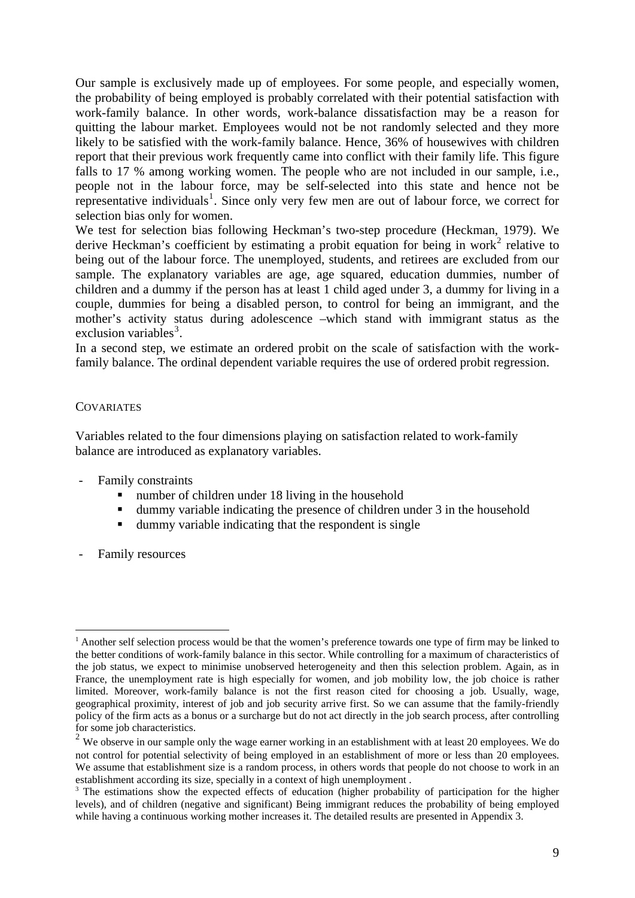Our sample is exclusively made up of employees. For some people, and especially women, the probability of being employed is probably correlated with their potential satisfaction with work-family balance. In other words, work-balance dissatisfaction may be a reason for quitting the labour market. Employees would not be not randomly selected and they more likely to be satisfied with the work-family balance. Hence, 36% of housewives with children report that their previous work frequently came into conflict with their family life. This figure falls to 17 % among working women. The people who are not included in our sample, i.e., people not in the labour force, may be self-selected into this state and hence not be representative individuals<sup>[1](#page-8-0)</sup>. Since only very few men are out of labour force, we correct for selection bias only for women.

We test for selection bias following Heckman's two-step procedure (Heckman, 1979). We derive Heckman's coefficient by estimating a probit equation for being in work<sup>[2](#page-8-1)</sup> relative to being out of the labour force. The unemployed, students, and retirees are excluded from our sample. The explanatory variables are age, age squared, education dummies, number of children and a dummy if the person has at least 1 child aged under 3, a dummy for living in a couple, dummies for being a disabled person, to control for being an immigrant, and the mother's activity status during adolescence –which stand with immigrant status as the exclusion variables<sup>[3](#page-8-2)</sup>.

In a second step, we estimate an ordered probit on the scale of satisfaction with the workfamily balance. The ordinal dependent variable requires the use of ordered probit regression.

#### **COVARIATES**

Variables related to the four dimensions playing on satisfaction related to work-family balance are introduced as explanatory variables.

- Family constraints
	- number of children under 18 living in the household
	- dummy variable indicating the presence of children under 3 in the household
	- dummy variable indicating that the respondent is single
- Family resources

1

<span id="page-8-0"></span><sup>&</sup>lt;sup>1</sup> Another self selection process would be that the women's preference towards one type of firm may be linked to the better conditions of work-family balance in this sector. While controlling for a maximum of characteristics of the job status, we expect to minimise unobserved heterogeneity and then this selection problem. Again, as in France, the unemployment rate is high especially for women, and job mobility low, the job choice is rather limited. Moreover, work-family balance is not the first reason cited for choosing a job. Usually, wage, geographical proximity, interest of job and job security arrive first. So we can assume that the family-friendly policy of the firm acts as a bonus or a surcharge but do not act directly in the job search process, after controlling for some job characteristics.

<span id="page-8-1"></span><sup>&</sup>lt;sup>2</sup> We observe in our sample only the wage earner working in an establishment with at least 20 employees. We do not control for potential selectivity of being employed in an establishment of more or less than 20 employees. We assume that establishment size is a random process, in others words that people do not choose to work in an establishment according its size, specially in a context of high unemployment .<br><sup>3</sup> The estimations show the expected effects of education (higher probability of participation for the higher

<span id="page-8-2"></span>levels), and of children (negative and significant) Being immigrant reduces the probability of being employed while having a continuous working mother increases it. The detailed results are presented in Appendix 3.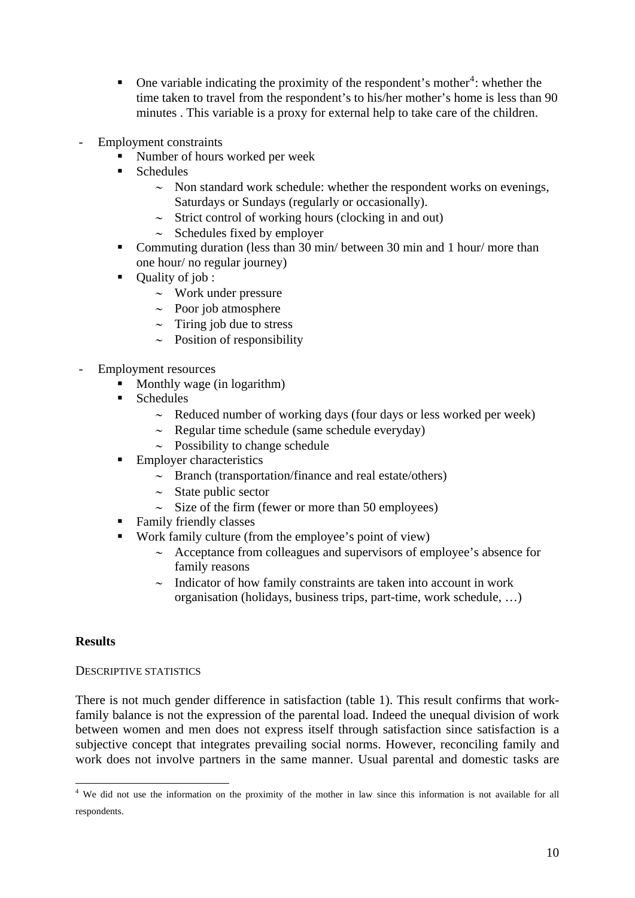- One variable indicating the proximity of the respondent's mother<sup>[4](#page-9-0)</sup>: whether the time taken to travel from the respondent's to his/her mother's home is less than 90 minutes . This variable is a proxy for external help to take care of the children.
- Employment constraints
	- Number of hours worked per week
	- Schedules
		- ∼ Non standard work schedule: whether the respondent works on evenings, Saturdays or Sundays (regularly or occasionally).
		- ∼ Strict control of working hours (clocking in and out)
		- ∼ Schedules fixed by employer
	- Commuting duration (less than 30 min/ between 30 min and 1 hour/ more than one hour/ no regular journey)
	- Quality of job :
		- ∼ Work under pressure
		- ∼ Poor job atmosphere
		- ∼ Tiring job due to stress
		- ∼ Position of responsibility
- Employment resources
	- Monthly wage (in logarithm)
	- Schedules
		- ∼ Reduced number of working days (four days or less worked per week)
		- ∼ Regular time schedule (same schedule everyday)
		- ∼ Possibility to change schedule
	- Employer characteristics
		- ∼ Branch (transportation/finance and real estate/others)
		- ∼ State public sector
		- ∼ Size of the firm (fewer or more than 50 employees)
	- Family friendly classes
	- Work family culture (from the employee's point of view)
		- ∼ Acceptance from colleagues and supervisors of employee's absence for family reasons
		- ∼ Indicator of how family constraints are taken into account in work organisation (holidays, business trips, part-time, work schedule, …)

## **Results**

#### DESCRIPTIVE STATISTICS

There is not much gender difference in satisfaction (table 1). This result confirms that workfamily balance is not the expression of the parental load. Indeed the unequal division of work between women and men does not express itself through satisfaction since satisfaction is a subjective concept that integrates prevailing social norms. However, reconciling family and work does not involve partners in the same manner. Usual parental and domestic tasks are

<span id="page-9-0"></span><sup>1</sup> <sup>4</sup> We did not use the information on the proximity of the mother in law since this information is not available for all respondents.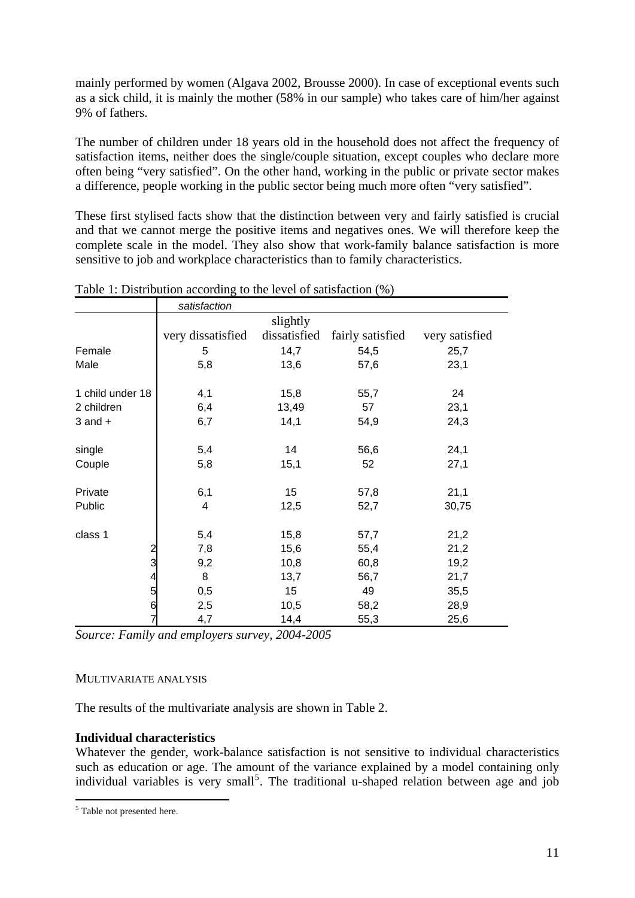mainly performed by women (Algava 2002, Brousse 2000). In case of exceptional events such as a sick child, it is mainly the mother (58% in our sample) who takes care of him/her against 9% of fathers.

The number of children under 18 years old in the household does not affect the frequency of satisfaction items, neither does the single/couple situation, except couples who declare more often being "very satisfied". On the other hand, working in the public or private sector makes a difference, people working in the public sector being much more often "very satisfied".

These first stylised facts show that the distinction between very and fairly satisfied is crucial and that we cannot merge the positive items and negatives ones. We will therefore keep the complete scale in the model. They also show that work-family balance satisfaction is more sensitive to job and workplace characteristics than to family characteristics.

|                         | satisfaction      |              |                  |                |
|-------------------------|-------------------|--------------|------------------|----------------|
|                         |                   | slightly     |                  |                |
|                         | very dissatisfied | dissatisfied | fairly satisfied | very satisfied |
| Female                  | 5                 | 14,7         | 54,5             | 25,7           |
| Male                    | 5,8               | 13,6         | 57,6             | 23,1           |
|                         |                   |              |                  |                |
| 1 child under 18        | 4,1               | 15,8         | 55,7             | 24             |
| 2 children              | 6,4               | 13,49        | 57               | 23,1           |
| $3$ and $+$             | 6,7               | 14,1         | 54,9             | 24,3           |
|                         |                   |              |                  |                |
| single                  | 5,4               | 14           | 56,6             | 24,1           |
| Couple                  | 5,8               | 15,1         | 52               | 27,1           |
|                         |                   |              |                  |                |
| Private                 | 6,1               | 15           | 57,8             | 21,1           |
| Public                  | 4                 | 12,5         | 52,7             | 30,75          |
|                         |                   |              |                  |                |
| class 1                 | 5,4               | 15,8         | 57,7             | 21,2           |
| $\overline{\mathbf{c}}$ | 7,8               | 15,6         | 55,4             | 21,2           |
| 3                       | 9,2               | 10,8         | 60,8             | 19,2           |
| 4                       | 8                 | 13,7         | 56,7             | 21,7           |
| 5                       | 0,5               | 15           | 49               | 35,5           |
| 6                       | 2,5               | 10,5         | 58,2             | 28,9           |
| 7                       | 4,7               | 14,4         | 55,3             | 25,6           |

#### Table 1: Distribution according to the level of satisfaction (%)

*Source: Family and employers survey, 2004-2005* 

#### MULTIVARIATE ANALYSIS

The results of the multivariate analysis are shown in Table 2.

## **Individual characteristics**

Whatever the gender, work-balance satisfaction is not sensitive to individual characteristics such as education or age. The amount of the variance explained by a model containing only individual variables is very small<sup>[5](#page-10-0)</sup>. The traditional u-shaped relation between age and job

<span id="page-10-0"></span> 5 Table not presented here.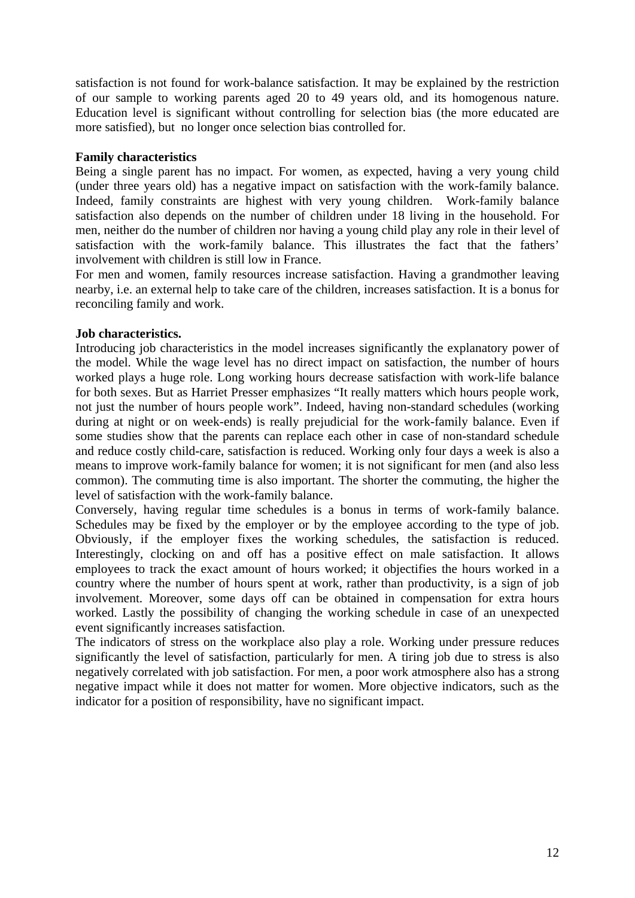satisfaction is not found for work-balance satisfaction. It may be explained by the restriction of our sample to working parents aged 20 to 49 years old, and its homogenous nature. Education level is significant without controlling for selection bias (the more educated are more satisfied), but no longer once selection bias controlled for.

#### **Family characteristics**

Being a single parent has no impact. For women, as expected, having a very young child (under three years old) has a negative impact on satisfaction with the work-family balance. Indeed, family constraints are highest with very young children. Work-family balance satisfaction also depends on the number of children under 18 living in the household. For men, neither do the number of children nor having a young child play any role in their level of satisfaction with the work-family balance. This illustrates the fact that the fathers' involvement with children is still low in France.

For men and women, family resources increase satisfaction. Having a grandmother leaving nearby, i.e. an external help to take care of the children, increases satisfaction. It is a bonus for reconciling family and work.

## **Job characteristics.**

Introducing job characteristics in the model increases significantly the explanatory power of the model. While the wage level has no direct impact on satisfaction, the number of hours worked plays a huge role. Long working hours decrease satisfaction with work-life balance for both sexes. But as Harriet Presser emphasizes "It really matters which hours people work, not just the number of hours people work". Indeed, having non-standard schedules (working during at night or on week-ends) is really prejudicial for the work-family balance. Even if some studies show that the parents can replace each other in case of non-standard schedule and reduce costly child-care, satisfaction is reduced. Working only four days a week is also a means to improve work-family balance for women; it is not significant for men (and also less common). The commuting time is also important. The shorter the commuting, the higher the level of satisfaction with the work-family balance.

Conversely, having regular time schedules is a bonus in terms of work-family balance. Schedules may be fixed by the employer or by the employee according to the type of job. Obviously, if the employer fixes the working schedules, the satisfaction is reduced. Interestingly, clocking on and off has a positive effect on male satisfaction. It allows employees to track the exact amount of hours worked; it objectifies the hours worked in a country where the number of hours spent at work, rather than productivity, is a sign of job involvement. Moreover, some days off can be obtained in compensation for extra hours worked. Lastly the possibility of changing the working schedule in case of an unexpected event significantly increases satisfaction.

The indicators of stress on the workplace also play a role. Working under pressure reduces significantly the level of satisfaction, particularly for men. A tiring job due to stress is also negatively correlated with job satisfaction. For men, a poor work atmosphere also has a strong negative impact while it does not matter for women. More objective indicators, such as the indicator for a position of responsibility, have no significant impact.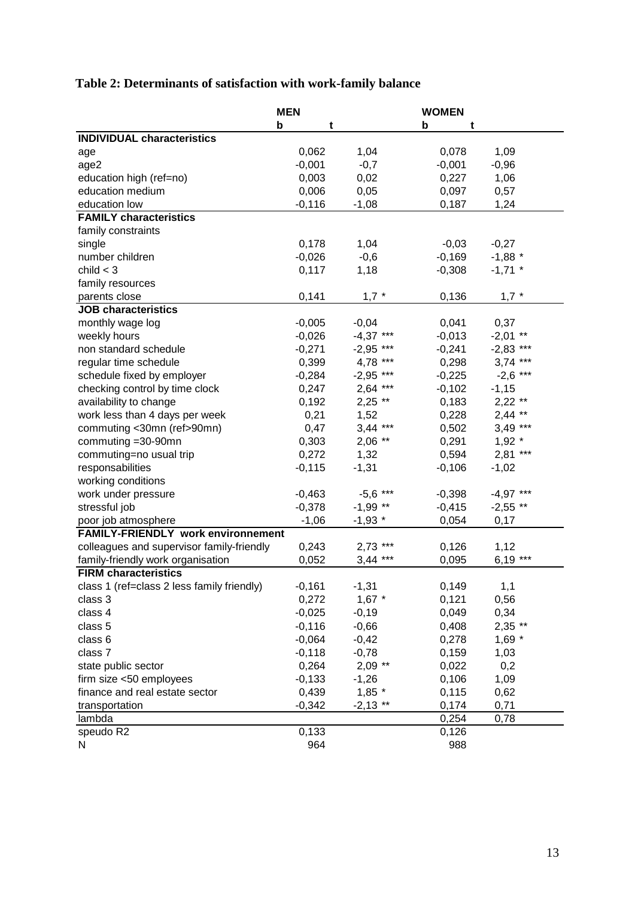# **Table 2: Determinants of satisfaction with work-family balance**

|                                            | <b>MEN</b> |                  | <b>WOMEN</b> |             |
|--------------------------------------------|------------|------------------|--------------|-------------|
|                                            | b<br>t     |                  | b<br>t       |             |
| <b>INDIVIDUAL characteristics</b>          |            |                  |              |             |
| age                                        | 0,062      | 1,04             | 0,078        | 1,09        |
| age2                                       | $-0,001$   | $-0,7$           | $-0,001$     | $-0,96$     |
| education high (ref=no)                    | 0,003      | 0,02             | 0,227        | 1,06        |
| education medium                           | 0,006      | 0,05             | 0,097        | 0,57        |
| education low                              | $-0,116$   | $-1,08$          | 0,187        | 1,24        |
| <b>FAMILY characteristics</b>              |            |                  |              |             |
| family constraints                         |            |                  |              |             |
| single                                     | 0,178      | 1,04             | $-0,03$      | $-0,27$     |
| number children                            | $-0,026$   | $-0,6$           | $-0,169$     | $-1,88$ *   |
| child $<$ 3                                | 0,117      | 1,18             | $-0,308$     | $-1,71$ *   |
| family resources                           |            |                  |              |             |
| parents close                              | 0,141      | $1,7$ *          | 0,136        | $1,7$ *     |
| <b>JOB</b> characteristics                 |            |                  |              |             |
| monthly wage log                           | $-0,005$   | $-0,04$          | 0,041        | 0,37        |
| weekly hours                               | $-0,026$   | $-4,37$ ***      | $-0,013$     | $-2,01$ **  |
| non standard schedule                      | $-0,271$   | $-2,95$ ***      | $-0,241$     | $-2,83$ *** |
| regular time schedule                      | 0,399      | 4,78 ***         | 0,298        | $3,74$ ***  |
| schedule fixed by employer                 | $-0,284$   | $-2,95$<br>$***$ | $-0,225$     | $-2,6$ ***  |
| checking control by time clock             | 0,247      | $2,64$ ***       | $-0,102$     | $-1,15$     |
| availability to change                     | 0,192      | $2,25$ **        | 0,183        | $2,22$ **   |
| work less than 4 days per week             | 0,21       | 1,52             | 0,228        | $2,44$ **   |
| commuting <30mn (ref>90mn)                 | 0,47       | $3,44$ ***       | 0,502        | $3,49$ ***  |
| commuting =30-90mn                         | 0,303      | $2,06$ **        | 0,291        | $1,92$ *    |
| commuting=no usual trip                    | 0,272      | 1,32             | 0,594        | $2,81$ ***  |
| responsabilities                           | $-0,115$   | $-1,31$          | $-0,106$     | $-1,02$     |
| working conditions                         |            |                  |              |             |
| work under pressure                        | $-0,463$   | $-5,6$ ***       | $-0,398$     | $-4,97$ *** |
| stressful job                              | $-0,378$   | $-1,99$ **       | $-0,415$     | $-2,55$ **  |
| poor job atmosphere                        | $-1,06$    | $-1,93$ *        | 0,054        | 0,17        |
| <b>FAMILY-FRIENDLY work environnement</b>  |            |                  |              |             |
| colleagues and supervisor family-friendly  | 0,243      | $2,73$ ***       | 0,126        | 1,12        |
| family-friendly work organisation          | 0,052      | $3,44$ ***       | 0,095        | $6,19***$   |
| <b>FIRM characteristics</b>                |            |                  |              |             |
| class 1 (ref=class 2 less family friendly) | $-0,161$   | $-1,31$          | 0,149        | 1,1         |
| class 3                                    | 0,272      | $1,67$ *         | 0,121        | 0,56        |
| class 4                                    | $-0,025$   | $-0,19$          | 0,049        | 0,34        |
| class 5                                    | $-0,116$   | $-0,66$          | 0,408        | $2,35$ **   |
| class 6                                    | $-0,064$   | $-0,42$          | 0,278        | $1,69$ *    |
| class 7                                    | $-0,118$   | $-0,78$          | 0,159        | 1,03        |
| state public sector                        | 0,264      | $2,09$ **        | 0,022        | 0,2         |
| firm size <50 employees                    | $-0,133$   | $-1,26$          | 0,106        | 1,09        |
| finance and real estate sector             | 0,439      | $1,85$ *         | 0,115        | 0,62        |
| transportation                             | $-0,342$   | $-2,13$ **       | 0,174        | 0,71        |
| lambda                                     |            |                  | 0,254        | 0,78        |
| speudo R2                                  | 0,133      |                  | 0,126        |             |
| N                                          | 964        |                  | 988          |             |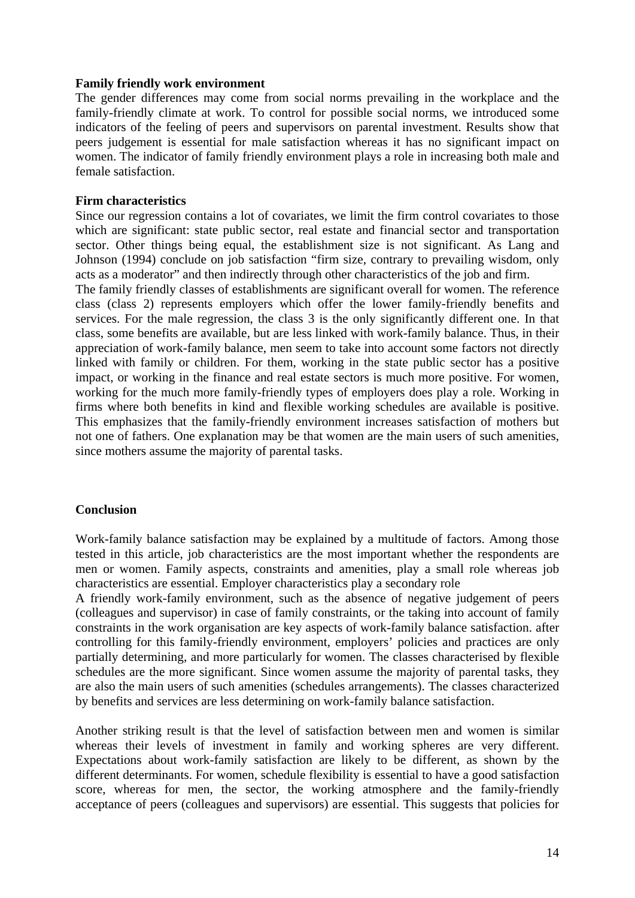#### **Family friendly work environment**

The gender differences may come from social norms prevailing in the workplace and the family-friendly climate at work. To control for possible social norms, we introduced some indicators of the feeling of peers and supervisors on parental investment. Results show that peers judgement is essential for male satisfaction whereas it has no significant impact on women. The indicator of family friendly environment plays a role in increasing both male and female satisfaction.

#### **Firm characteristics**

Since our regression contains a lot of covariates, we limit the firm control covariates to those which are significant: state public sector, real estate and financial sector and transportation sector. Other things being equal, the establishment size is not significant. As Lang and Johnson (1994) conclude on job satisfaction "firm size, contrary to prevailing wisdom, only acts as a moderator" and then indirectly through other characteristics of the job and firm.

The family friendly classes of establishments are significant overall for women. The reference class (class 2) represents employers which offer the lower family-friendly benefits and services. For the male regression, the class 3 is the only significantly different one. In that class, some benefits are available, but are less linked with work-family balance. Thus, in their appreciation of work-family balance, men seem to take into account some factors not directly linked with family or children. For them, working in the state public sector has a positive impact, or working in the finance and real estate sectors is much more positive. For women, working for the much more family-friendly types of employers does play a role. Working in firms where both benefits in kind and flexible working schedules are available is positive. This emphasizes that the family-friendly environment increases satisfaction of mothers but not one of fathers. One explanation may be that women are the main users of such amenities, since mothers assume the majority of parental tasks.

#### **Conclusion**

Work-family balance satisfaction may be explained by a multitude of factors. Among those tested in this article, job characteristics are the most important whether the respondents are men or women. Family aspects, constraints and amenities, play a small role whereas job characteristics are essential. Employer characteristics play a secondary role

A friendly work-family environment, such as the absence of negative judgement of peers (colleagues and supervisor) in case of family constraints, or the taking into account of family constraints in the work organisation are key aspects of work-family balance satisfaction. after controlling for this family-friendly environment, employers' policies and practices are only partially determining, and more particularly for women. The classes characterised by flexible schedules are the more significant. Since women assume the majority of parental tasks, they are also the main users of such amenities (schedules arrangements). The classes characterized by benefits and services are less determining on work-family balance satisfaction.

Another striking result is that the level of satisfaction between men and women is similar whereas their levels of investment in family and working spheres are very different. Expectations about work-family satisfaction are likely to be different, as shown by the different determinants. For women, schedule flexibility is essential to have a good satisfaction score, whereas for men, the sector, the working atmosphere and the family-friendly acceptance of peers (colleagues and supervisors) are essential. This suggests that policies for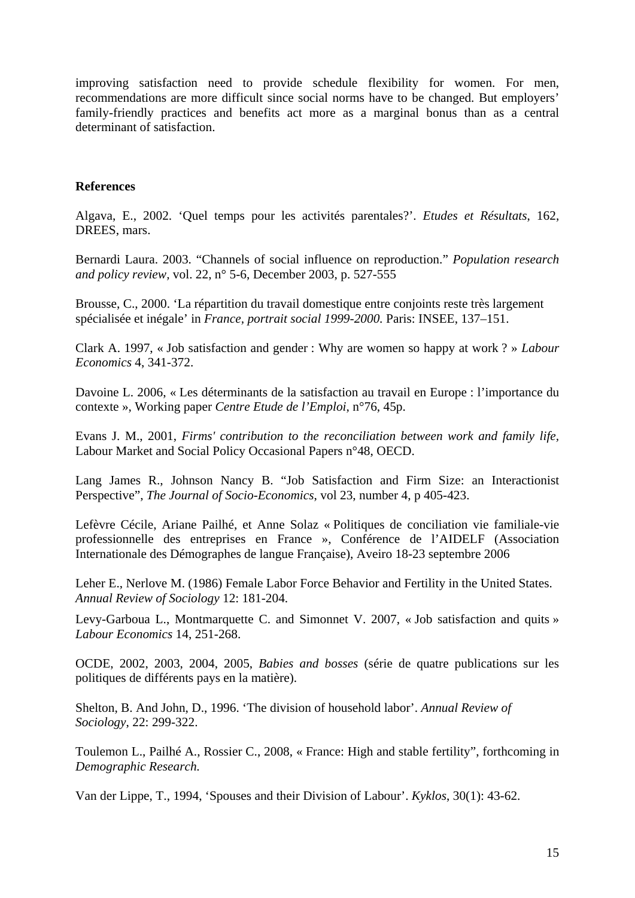improving satisfaction need to provide schedule flexibility for women. For men, recommendations are more difficult since social norms have to be changed. But employers' family-friendly practices and benefits act more as a marginal bonus than as a central determinant of satisfaction

## **References**

Algava, E., 2002. 'Quel temps pour les activités parentales?'. *Etudes et Résultats*, 162, DREES, mars.

Bernardi Laura. 2003. "Channels of social influence on reproduction." *Population research and policy review,* vol. 22, n° 5-6, December 2003, p. 527-555

Brousse, C., 2000. 'La répartition du travail domestique entre conjoints reste très largement spécialisée et inégale' in *France, portrait social 1999-2000.* Paris: INSEE, 137–151.

Clark A. 1997, « Job satisfaction and gender : Why are women so happy at work ? » *Labour Economics* 4, 341-372.

Davoine L. 2006, « Les déterminants de la satisfaction au travail en Europe : l'importance du contexte », Working paper *Centre Etude de l'Emploi*, n°76, 45p.

Evans J. M., 2001, *Firms' contribution to the reconciliation between work and family life,*  Labour Market and Social Policy Occasional Papers n°48, OECD.

Lang James R., Johnson Nancy B. "Job Satisfaction and Firm Size: an Interactionist Perspective", *The Journal of Socio-Economics*, vol 23, number 4, p 405-423.

Lefèvre Cécile, Ariane Pailhé, et Anne Solaz « Politiques de conciliation vie familiale-vie professionnelle des entreprises en France », Conférence de l'AIDELF (Association Internationale des Démographes de langue Française), Aveiro 18-23 septembre 2006

Leher E., Nerlove M. (1986) Female Labor Force Behavior and Fertility in the United States. *Annual Review of Sociology* 12: 181-204.

Levy-Garboua L., Montmarquette C. and Simonnet V. 2007, « Job satisfaction and quits » *Labour Economics* 14, 251-268.

OCDE, 2002, 2003, 2004, 2005, *Babies and bosses* (série de quatre publications sur les politiques de différents pays en la matière).

Shelton, B. And John, D., 1996. 'The division of household labor'. *Annual Review of Sociology*, 22: 299-322.

Toulemon L., Pailhé A., Rossier C., 2008, « France: High and stable fertility", forthcoming in *Demographic Research.*

Van der Lippe, T., 1994, 'Spouses and their Division of Labour'. *Kyklos*, 30(1): 43-62.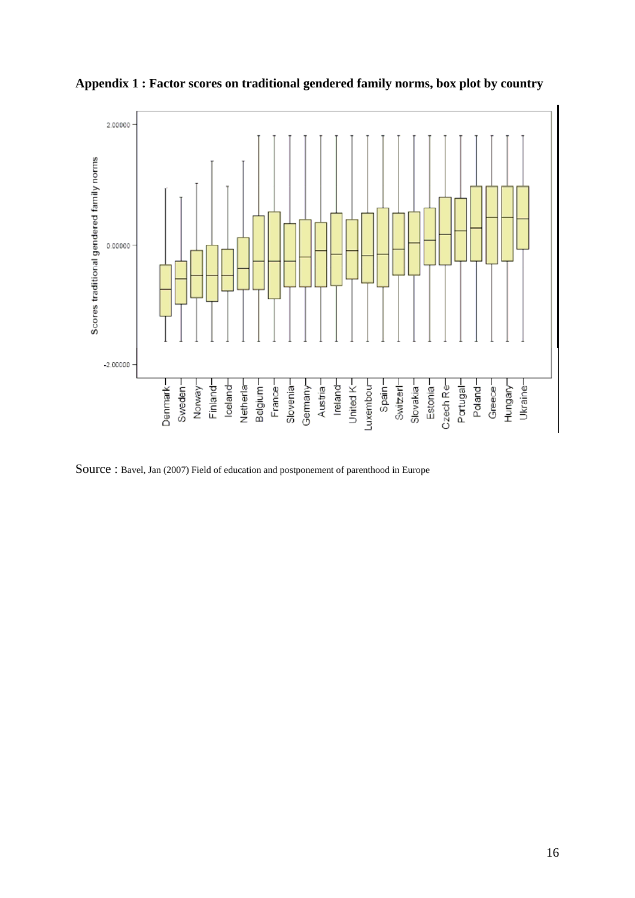

**Appendix 1 : Factor scores on traditional gendered family norms, box plot by country**

Source : Bavel, Jan (2007) Field of education and postponement of parenthood in Europe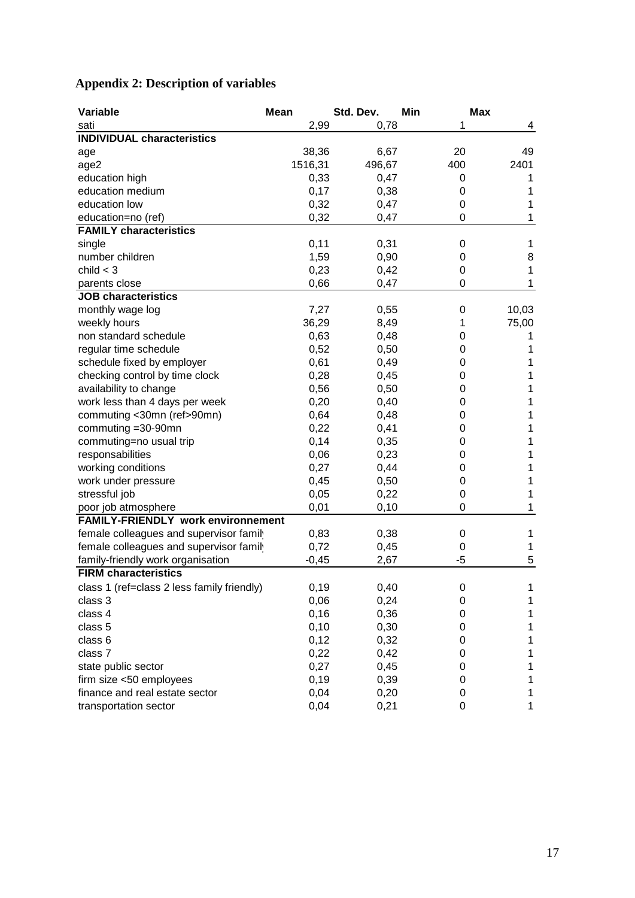| Variable                                   | <b>Mean</b> | Std. Dev. | Min  | <b>Max</b> |
|--------------------------------------------|-------------|-----------|------|------------|
| sati                                       | 2,99        | 0,78      | 1    | 4          |
| <b>INDIVIDUAL characteristics</b>          |             |           |      |            |
| age                                        | 38,36       | 6,67      | 20   | 49         |
| age2                                       | 1516,31     | 496,67    | 400  | 2401       |
| education high                             | 0,33        | 0,47      | 0    | 1          |
| education medium                           | 0,17        | 0,38      | 0    | 1          |
| education low                              | 0,32        | 0,47      | 0    | 1          |
| education=no (ref)                         | 0,32        | 0,47      | 0    | 1          |
| <b>FAMILY characteristics</b>              |             |           |      |            |
| single                                     | 0,11        | 0,31      | 0    | 1          |
| number children                            | 1,59        | 0,90      | 0    | 8          |
| child $<$ 3                                | 0,23        | 0,42      | 0    | 1          |
| parents close                              | 0,66        | 0,47      | 0    | 1          |
| <b>JOB</b> characteristics                 |             |           |      |            |
| monthly wage log                           | 7,27        | 0,55      | 0    | 10,03      |
| weekly hours                               | 36,29       | 8,49      | 1    | 75,00      |
| non standard schedule                      | 0,63        | 0,48      | 0    | 1          |
| regular time schedule                      | 0,52        | 0,50      | 0    | 1          |
| schedule fixed by employer                 | 0,61        | 0,49      | 0    | 1          |
| checking control by time clock             | 0,28        | 0,45      | 0    | 1          |
| availability to change                     | 0,56        | 0,50      | 0    | 1          |
| work less than 4 days per week             | 0,20        | 0,40      | 0    | 1          |
| commuting <30mn (ref>90mn)                 | 0,64        | 0,48      | 0    | 1          |
| commuting =30-90mn                         | 0,22        | 0,41      | 0    | 1          |
| commuting=no usual trip                    | 0,14        | 0,35      | 0    | 1          |
| responsabilities                           | 0,06        | 0,23      | 0    | 1          |
| working conditions                         | 0,27        | 0,44      | 0    | 1          |
| work under pressure                        | 0,45        | 0,50      | 0    | 1          |
| stressful job                              | 0,05        | 0,22      | 0    | 1          |
| poor job atmosphere                        | 0,01        | 0,10      | 0    | 1          |
| <b>FAMILY-FRIENDLY work environnement</b>  |             |           |      |            |
| female colleagues and supervisor family    | 0,83        | 0,38      | 0    | 1          |
| female colleagues and supervisor family    | 0,72        | 0,45      | 0    | 1          |
| family-friendly work organisation          | $-0,45$     | 2,67      | $-5$ | 5          |
| <b>FIRM characteristics</b>                |             |           |      |            |
| class 1 (ref=class 2 less family friendly) | 0,19        | 0,40      | 0    | 1          |
| class 3                                    | 0,06        | 0,24      | 0    | 1          |
| class 4                                    | 0, 16       | 0,36      | 0    | 1          |
| class 5                                    | 0, 10       | 0,30      | 0    | 1          |
| class 6                                    | 0,12        | 0,32      | 0    | 1          |
| class 7                                    | 0,22        | 0,42      | 0    | 1          |
| state public sector                        | 0,27        | 0,45      | 0    | 1          |
| firm size <50 employees                    | 0, 19       | 0,39      | 0    | 1          |
| finance and real estate sector             | 0,04        | 0,20      | 0    | 1          |
| transportation sector                      | 0,04        | 0,21      | 0    | 1          |

## **Appendix 2: Description of variables**